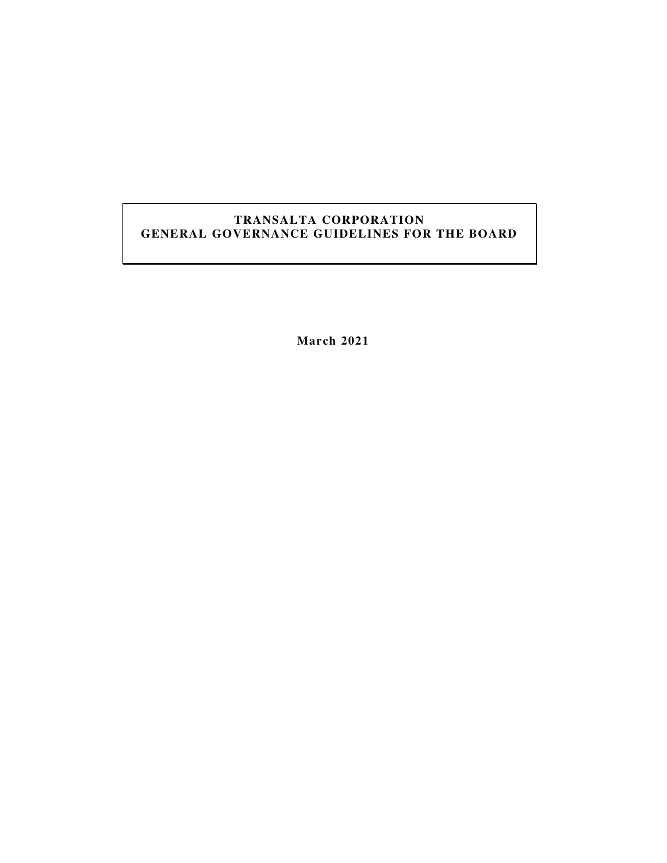# **TRANSALTA CORPORATION GENERAL GOVERNANCE GUIDELINES FOR THE BOARD**

**March 2021**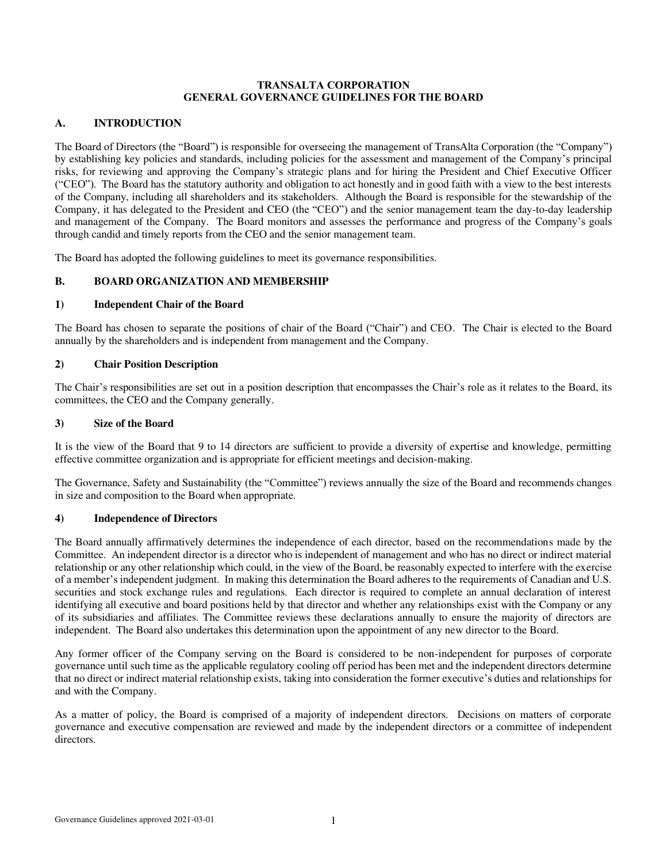#### **TRANSALTA CORPORATION GENERAL GOVERNANCE GUIDELINES FOR THE BOARD**

## **A. INTRODUCTION**

The Board of Directors (the "Board") is responsible for overseeing the management of TransAlta Corporation (the "Company") by establishing key policies and standards, including policies for the assessment and management of the Company's principal risks, for reviewing and approving the Company's strategic plans and for hiring the President and Chief Executive Officer ("CEO"). The Board has the statutory authority and obligation to act honestly and in good faith with a view to the best interests of the Company, including all shareholders and its stakeholders. Although the Board is responsible for the stewardship of the Company, it has delegated to the President and CEO (the "CEO") and the senior management team the day-to-day leadership and management of the Company. The Board monitors and assesses the performance and progress of the Company's goals through candid and timely reports from the CEO and the senior management team.

The Board has adopted the following guidelines to meet its governance responsibilities.

## **B. BOARD ORGANIZATION AND MEMBERSHIP**

#### **1) Independent Chair of the Board**

The Board has chosen to separate the positions of chair of the Board ("Chair") and CEO. The Chair is elected to the Board annually by the shareholders and is independent from management and the Company.

#### **2) Chair Position Description**

The Chair's responsibilities are set out in a position description that encompasses the Chair's role as it relates to the Board, its committees, the CEO and the Company generally.

#### **3) Size of the Board**

It is the view of the Board that 9 to 14 directors are sufficient to provide a diversity of expertise and knowledge, permitting effective committee organization and is appropriate for efficient meetings and decision-making.

The Governance, Safety and Sustainability (the "Committee") reviews annually the size of the Board and recommends changes in size and composition to the Board when appropriate.

#### **4) Independence of Directors**

The Board annually affirmatively determines the independence of each director, based on the recommendations made by the Committee. An independent director is a director who is independent of management and who has no direct or indirect material relationship or any other relationship which could, in the view of the Board, be reasonably expected to interfere with the exercise of a member's independent judgment. In making this determination the Board adheres to the requirements of Canadian and U.S. securities and stock exchange rules and regulations. Each director is required to complete an annual declaration of interest identifying all executive and board positions held by that director and whether any relationships exist with the Company or any of its subsidiaries and affiliates. The Committee reviews these declarations annually to ensure the majority of directors are independent. The Board also undertakes this determination upon the appointment of any new director to the Board.

Any former officer of the Company serving on the Board is considered to be non-independent for purposes of corporate governance until such time as the applicable regulatory cooling off period has been met and the independent directors determine that no direct or indirect material relationship exists, taking into consideration the former executive's duties and relationships for and with the Company.

As a matter of policy, the Board is comprised of a majority of independent directors. Decisions on matters of corporate governance and executive compensation are reviewed and made by the independent directors or a committee of independent directors.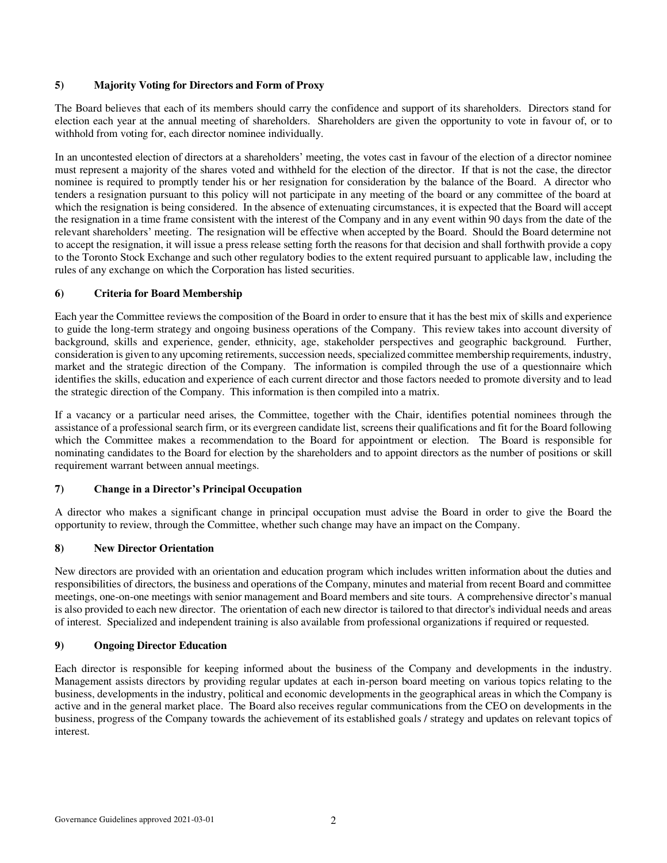#### **5) Majority Voting for Directors and Form of Proxy**

The Board believes that each of its members should carry the confidence and support of its shareholders. Directors stand for election each year at the annual meeting of shareholders. Shareholders are given the opportunity to vote in favour of, or to withhold from voting for, each director nominee individually.

In an uncontested election of directors at a shareholders' meeting, the votes cast in favour of the election of a director nominee must represent a majority of the shares voted and withheld for the election of the director. If that is not the case, the director nominee is required to promptly tender his or her resignation for consideration by the balance of the Board. A director who tenders a resignation pursuant to this policy will not participate in any meeting of the board or any committee of the board at which the resignation is being considered. In the absence of extenuating circumstances, it is expected that the Board will accept the resignation in a time frame consistent with the interest of the Company and in any event within 90 days from the date of the relevant shareholders' meeting. The resignation will be effective when accepted by the Board. Should the Board determine not to accept the resignation, it will issue a press release setting forth the reasons for that decision and shall forthwith provide a copy to the Toronto Stock Exchange and such other regulatory bodies to the extent required pursuant to applicable law, including the rules of any exchange on which the Corporation has listed securities.

## **6) Criteria for Board Membership**

Each year the Committee reviews the composition of the Board in order to ensure that it has the best mix of skills and experience to guide the long-term strategy and ongoing business operations of the Company. This review takes into account diversity of background, skills and experience, gender, ethnicity, age, stakeholder perspectives and geographic background. Further, consideration is given to any upcoming retirements, succession needs, specialized committee membership requirements, industry, market and the strategic direction of the Company. The information is compiled through the use of a questionnaire which identifies the skills, education and experience of each current director and those factors needed to promote diversity and to lead the strategic direction of the Company. This information is then compiled into a matrix.

If a vacancy or a particular need arises, the Committee, together with the Chair, identifies potential nominees through the assistance of a professional search firm, or its evergreen candidate list, screens their qualifications and fit for the Board following which the Committee makes a recommendation to the Board for appointment or election. The Board is responsible for nominating candidates to the Board for election by the shareholders and to appoint directors as the number of positions or skill requirement warrant between annual meetings.

# **7) Change in a Director's Principal Occupation**

A director who makes a significant change in principal occupation must advise the Board in order to give the Board the opportunity to review, through the Committee, whether such change may have an impact on the Company.

# **8) New Director Orientation**

New directors are provided with an orientation and education program which includes written information about the duties and responsibilities of directors, the business and operations of the Company, minutes and material from recent Board and committee meetings, one-on-one meetings with senior management and Board members and site tours. A comprehensive director's manual is also provided to each new director. The orientation of each new director is tailored to that director's individual needs and areas of interest. Specialized and independent training is also available from professional organizations if required or requested.

#### **9) Ongoing Director Education**

Each director is responsible for keeping informed about the business of the Company and developments in the industry. Management assists directors by providing regular updates at each in-person board meeting on various topics relating to the business, developments in the industry, political and economic developments in the geographical areas in which the Company is active and in the general market place. The Board also receives regular communications from the CEO on developments in the business, progress of the Company towards the achievement of its established goals / strategy and updates on relevant topics of interest.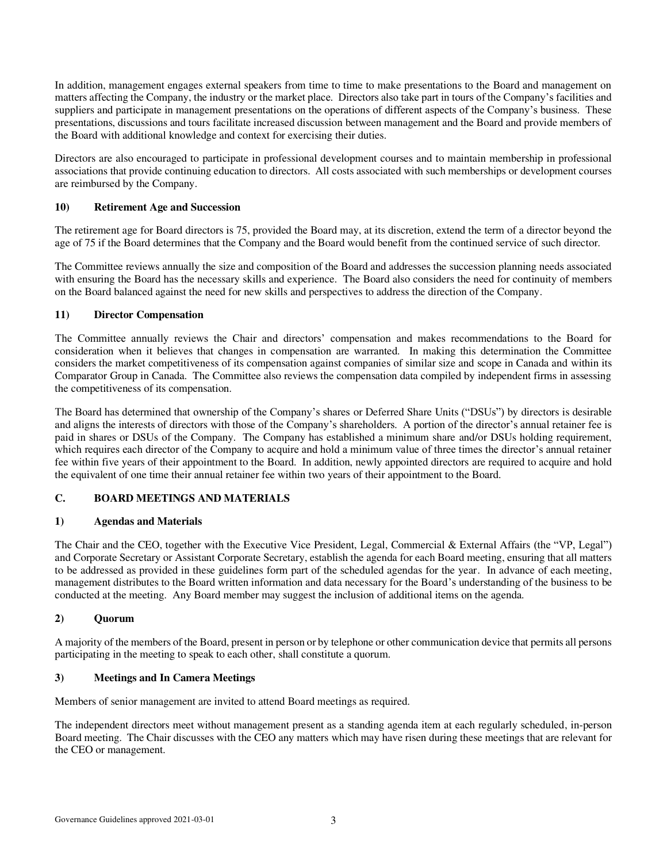In addition, management engages external speakers from time to time to make presentations to the Board and management on matters affecting the Company, the industry or the market place. Directors also take part in tours of the Company's facilities and suppliers and participate in management presentations on the operations of different aspects of the Company's business. These presentations, discussions and tours facilitate increased discussion between management and the Board and provide members of the Board with additional knowledge and context for exercising their duties.

Directors are also encouraged to participate in professional development courses and to maintain membership in professional associations that provide continuing education to directors. All costs associated with such memberships or development courses are reimbursed by the Company.

## **10) Retirement Age and Succession**

The retirement age for Board directors is 75, provided the Board may, at its discretion, extend the term of a director beyond the age of 75 if the Board determines that the Company and the Board would benefit from the continued service of such director.

The Committee reviews annually the size and composition of the Board and addresses the succession planning needs associated with ensuring the Board has the necessary skills and experience. The Board also considers the need for continuity of members on the Board balanced against the need for new skills and perspectives to address the direction of the Company.

#### **11) Director Compensation**

The Committee annually reviews the Chair and directors' compensation and makes recommendations to the Board for consideration when it believes that changes in compensation are warranted. In making this determination the Committee considers the market competitiveness of its compensation against companies of similar size and scope in Canada and within its Comparator Group in Canada. The Committee also reviews the compensation data compiled by independent firms in assessing the competitiveness of its compensation.

The Board has determined that ownership of the Company's shares or Deferred Share Units ("DSUs") by directors is desirable and aligns the interests of directors with those of the Company's shareholders. A portion of the director's annual retainer fee is paid in shares or DSUs of the Company. The Company has established a minimum share and/or DSUs holding requirement, which requires each director of the Company to acquire and hold a minimum value of three times the director's annual retainer fee within five years of their appointment to the Board. In addition, newly appointed directors are required to acquire and hold the equivalent of one time their annual retainer fee within two years of their appointment to the Board.

# **C. BOARD MEETINGS AND MATERIALS**

#### **1) Agendas and Materials**

The Chair and the CEO, together with the Executive Vice President, Legal, Commercial & External Affairs (the "VP, Legal") and Corporate Secretary or Assistant Corporate Secretary, establish the agenda for each Board meeting, ensuring that all matters to be addressed as provided in these guidelines form part of the scheduled agendas for the year. In advance of each meeting, management distributes to the Board written information and data necessary for the Board's understanding of the business to be conducted at the meeting. Any Board member may suggest the inclusion of additional items on the agenda.

#### **2) Quorum**

A majority of the members of the Board, present in person or by telephone or other communication device that permits all persons participating in the meeting to speak to each other, shall constitute a quorum.

#### **3) Meetings and In Camera Meetings**

Members of senior management are invited to attend Board meetings as required.

The independent directors meet without management present as a standing agenda item at each regularly scheduled, in-person Board meeting. The Chair discusses with the CEO any matters which may have risen during these meetings that are relevant for the CEO or management.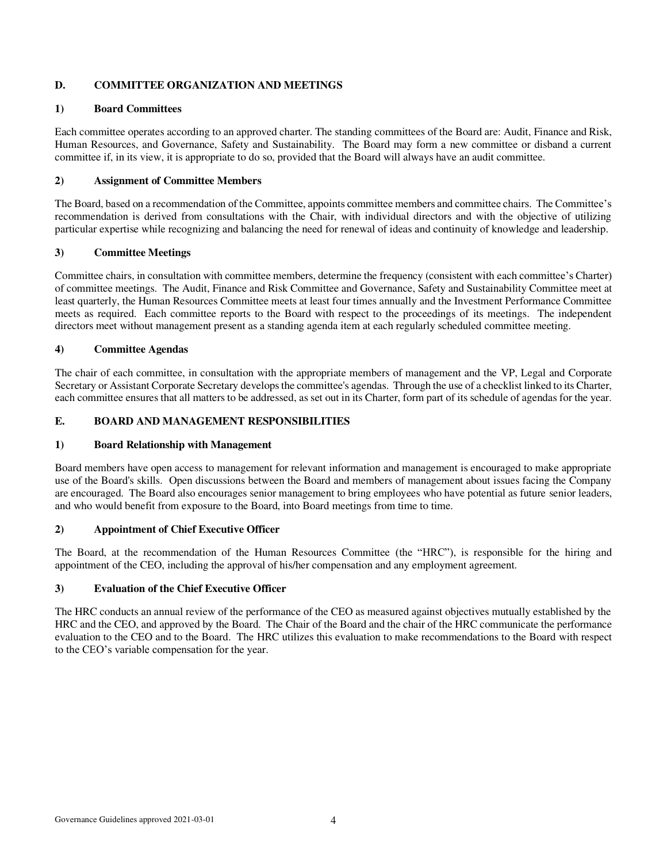## **D. COMMITTEE ORGANIZATION AND MEETINGS**

#### **1) Board Committees**

Each committee operates according to an approved charter. The standing committees of the Board are: Audit, Finance and Risk, Human Resources, and Governance, Safety and Sustainability. The Board may form a new committee or disband a current committee if, in its view, it is appropriate to do so, provided that the Board will always have an audit committee.

## **2) Assignment of Committee Members**

The Board, based on a recommendation of the Committee, appoints committee members and committee chairs. The Committee's recommendation is derived from consultations with the Chair, with individual directors and with the objective of utilizing particular expertise while recognizing and balancing the need for renewal of ideas and continuity of knowledge and leadership.

## **3) Committee Meetings**

Committee chairs, in consultation with committee members, determine the frequency (consistent with each committee's Charter) of committee meetings. The Audit, Finance and Risk Committee and Governance, Safety and Sustainability Committee meet at least quarterly, the Human Resources Committee meets at least four times annually and the Investment Performance Committee meets as required. Each committee reports to the Board with respect to the proceedings of its meetings. The independent directors meet without management present as a standing agenda item at each regularly scheduled committee meeting.

#### **4) Committee Agendas**

The chair of each committee, in consultation with the appropriate members of management and the VP, Legal and Corporate Secretary or Assistant Corporate Secretary develops the committee's agendas. Through the use of a checklist linked to its Charter, each committee ensures that all matters to be addressed, as set out in its Charter, form part of its schedule of agendas for the year.

## **E. BOARD AND MANAGEMENT RESPONSIBILITIES**

#### **1) Board Relationship with Management**

Board members have open access to management for relevant information and management is encouraged to make appropriate use of the Board's skills. Open discussions between the Board and members of management about issues facing the Company are encouraged. The Board also encourages senior management to bring employees who have potential as future senior leaders, and who would benefit from exposure to the Board, into Board meetings from time to time.

#### **2) Appointment of Chief Executive Officer**

The Board, at the recommendation of the Human Resources Committee (the "HRC"), is responsible for the hiring and appointment of the CEO, including the approval of his/her compensation and any employment agreement.

#### **3) Evaluation of the Chief Executive Officer**

The HRC conducts an annual review of the performance of the CEO as measured against objectives mutually established by the HRC and the CEO, and approved by the Board. The Chair of the Board and the chair of the HRC communicate the performance evaluation to the CEO and to the Board. The HRC utilizes this evaluation to make recommendations to the Board with respect to the CEO's variable compensation for the year.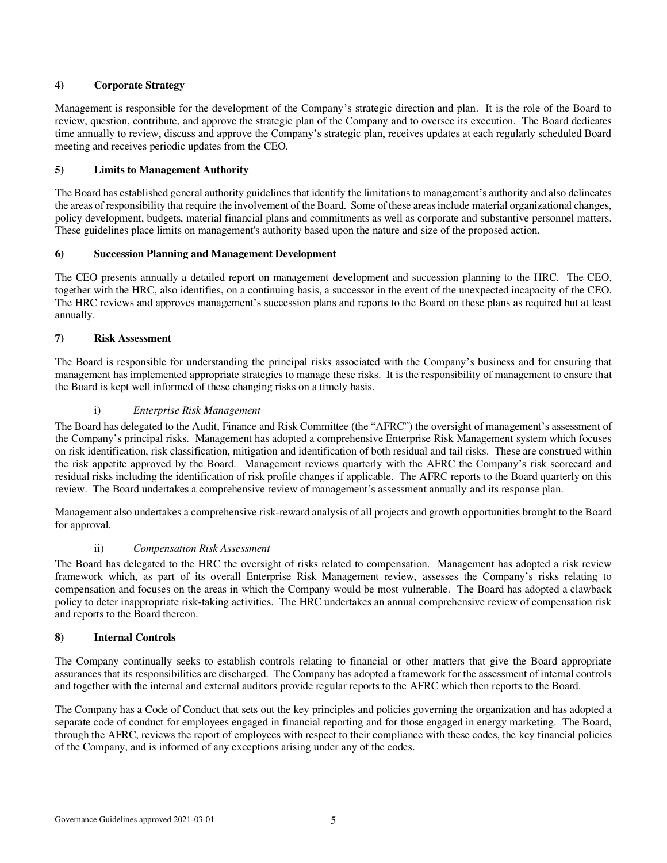# **4) Corporate Strategy**

Management is responsible for the development of the Company's strategic direction and plan. It is the role of the Board to review, question, contribute, and approve the strategic plan of the Company and to oversee its execution. The Board dedicates time annually to review, discuss and approve the Company's strategic plan, receives updates at each regularly scheduled Board meeting and receives periodic updates from the CEO.

## **5) Limits to Management Authority**

The Board has established general authority guidelines that identify the limitations to management's authority and also delineates the areas of responsibility that require the involvement of the Board. Some of these areas include material organizational changes, policy development, budgets, material financial plans and commitments as well as corporate and substantive personnel matters. These guidelines place limits on management's authority based upon the nature and size of the proposed action.

## **6) Succession Planning and Management Development**

The CEO presents annually a detailed report on management development and succession planning to the HRC. The CEO, together with the HRC, also identifies, on a continuing basis, a successor in the event of the unexpected incapacity of the CEO. The HRC reviews and approves management's succession plans and reports to the Board on these plans as required but at least annually.

## **7) Risk Assessment**

The Board is responsible for understanding the principal risks associated with the Company's business and for ensuring that management has implemented appropriate strategies to manage these risks. It is the responsibility of management to ensure that the Board is kept well informed of these changing risks on a timely basis.

## i) *Enterprise Risk Management*

The Board has delegated to the Audit, Finance and Risk Committee (the "AFRC") the oversight of management's assessment of the Company's principal risks. Management has adopted a comprehensive Enterprise Risk Management system which focuses on risk identification, risk classification, mitigation and identification of both residual and tail risks. These are construed within the risk appetite approved by the Board. Management reviews quarterly with the AFRC the Company's risk scorecard and residual risks including the identification of risk profile changes if applicable. The AFRC reports to the Board quarterly on this review. The Board undertakes a comprehensive review of management's assessment annually and its response plan.

Management also undertakes a comprehensive risk-reward analysis of all projects and growth opportunities brought to the Board for approval.

#### ii) *Compensation Risk Assessment*

The Board has delegated to the HRC the oversight of risks related to compensation. Management has adopted a risk review framework which, as part of its overall Enterprise Risk Management review, assesses the Company's risks relating to compensation and focuses on the areas in which the Company would be most vulnerable. The Board has adopted a clawback policy to deter inappropriate risk-taking activities. The HRC undertakes an annual comprehensive review of compensation risk and reports to the Board thereon.

#### **8) Internal Controls**

The Company continually seeks to establish controls relating to financial or other matters that give the Board appropriate assurances that its responsibilities are discharged. The Company has adopted a framework for the assessment of internal controls and together with the internal and external auditors provide regular reports to the AFRC which then reports to the Board.

The Company has a Code of Conduct that sets out the key principles and policies governing the organization and has adopted a separate code of conduct for employees engaged in financial reporting and for those engaged in energy marketing. The Board, through the AFRC, reviews the report of employees with respect to their compliance with these codes, the key financial policies of the Company, and is informed of any exceptions arising under any of the codes.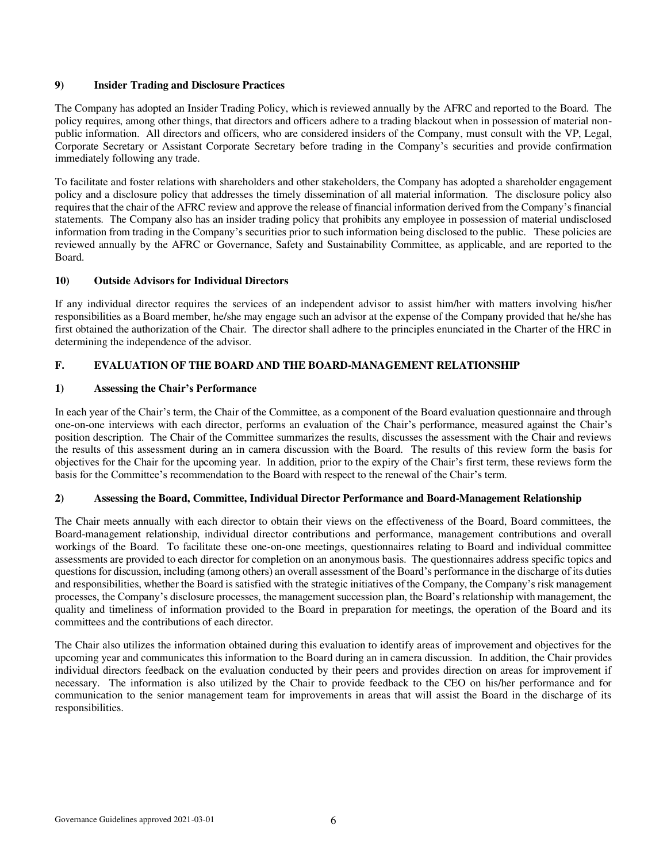#### **9) Insider Trading and Disclosure Practices**

The Company has adopted an Insider Trading Policy, which is reviewed annually by the AFRC and reported to the Board. The policy requires, among other things, that directors and officers adhere to a trading blackout when in possession of material nonpublic information. All directors and officers, who are considered insiders of the Company, must consult with the VP, Legal, Corporate Secretary or Assistant Corporate Secretary before trading in the Company's securities and provide confirmation immediately following any trade.

To facilitate and foster relations with shareholders and other stakeholders, the Company has adopted a shareholder engagement policy and a disclosure policy that addresses the timely dissemination of all material information. The disclosure policy also requires that the chair of the AFRC review and approve the release of financial information derived from the Company's financial statements. The Company also has an insider trading policy that prohibits any employee in possession of material undisclosed information from trading in the Company's securities prior to such information being disclosed to the public. These policies are reviewed annually by the AFRC or Governance, Safety and Sustainability Committee, as applicable, and are reported to the Board.

#### **10) Outside Advisors for Individual Directors**

If any individual director requires the services of an independent advisor to assist him/her with matters involving his/her responsibilities as a Board member, he/she may engage such an advisor at the expense of the Company provided that he/she has first obtained the authorization of the Chair. The director shall adhere to the principles enunciated in the Charter of the HRC in determining the independence of the advisor.

# **F. EVALUATION OF THE BOARD AND THE BOARD-MANAGEMENT RELATIONSHIP**

#### **1) Assessing the Chair's Performance**

In each year of the Chair's term, the Chair of the Committee, as a component of the Board evaluation questionnaire and through one-on-one interviews with each director, performs an evaluation of the Chair's performance, measured against the Chair's position description. The Chair of the Committee summarizes the results, discusses the assessment with the Chair and reviews the results of this assessment during an in camera discussion with the Board. The results of this review form the basis for objectives for the Chair for the upcoming year. In addition, prior to the expiry of the Chair's first term, these reviews form the basis for the Committee's recommendation to the Board with respect to the renewal of the Chair's term.

#### **2) Assessing the Board, Committee, Individual Director Performance and Board-Management Relationship**

The Chair meets annually with each director to obtain their views on the effectiveness of the Board, Board committees, the Board-management relationship, individual director contributions and performance, management contributions and overall workings of the Board. To facilitate these one-on-one meetings, questionnaires relating to Board and individual committee assessments are provided to each director for completion on an anonymous basis. The questionnaires address specific topics and questions for discussion, including (among others) an overall assessment of the Board's performance in the discharge of its duties and responsibilities, whether the Board is satisfied with the strategic initiatives of the Company, the Company's risk management processes, the Company's disclosure processes, the management succession plan, the Board's relationship with management, the quality and timeliness of information provided to the Board in preparation for meetings, the operation of the Board and its committees and the contributions of each director.

The Chair also utilizes the information obtained during this evaluation to identify areas of improvement and objectives for the upcoming year and communicates this information to the Board during an in camera discussion. In addition, the Chair provides individual directors feedback on the evaluation conducted by their peers and provides direction on areas for improvement if necessary. The information is also utilized by the Chair to provide feedback to the CEO on his/her performance and for communication to the senior management team for improvements in areas that will assist the Board in the discharge of its responsibilities.